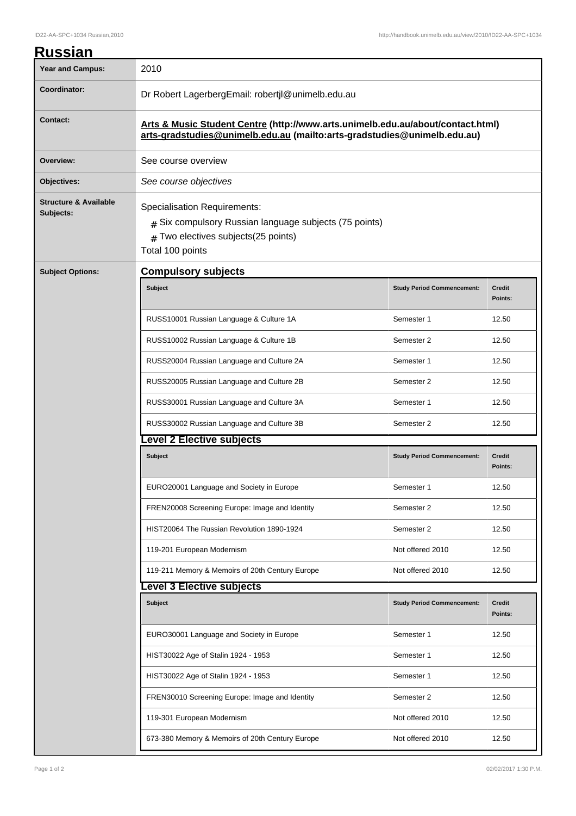| <b>Russian</b>                                |                                                                                                                                                              |                                   |                          |  |
|-----------------------------------------------|--------------------------------------------------------------------------------------------------------------------------------------------------------------|-----------------------------------|--------------------------|--|
| <b>Year and Campus:</b>                       | 2010                                                                                                                                                         |                                   |                          |  |
| Coordinator:                                  | Dr Robert LagerbergEmail: robertjl@unimelb.edu.au                                                                                                            |                                   |                          |  |
| <b>Contact:</b>                               | Arts & Music Student Centre (http://www.arts.unimelb.edu.au/about/contact.html)<br>arts-gradstudies@unimelb.edu.au (mailto:arts-gradstudies@unimelb.edu.au)  |                                   |                          |  |
| Overview:                                     | See course overview                                                                                                                                          |                                   |                          |  |
| Objectives:                                   | See course objectives                                                                                                                                        |                                   |                          |  |
| <b>Structure &amp; Available</b><br>Subjects: | <b>Specialisation Requirements:</b><br>$#$ Six compulsory Russian language subjects (75 points)<br>$#$ Two electives subjects(25 points)<br>Total 100 points |                                   |                          |  |
| <b>Subject Options:</b>                       | <b>Compulsory subjects</b>                                                                                                                                   |                                   |                          |  |
|                                               | <b>Subject</b>                                                                                                                                               | <b>Study Period Commencement:</b> | <b>Credit</b><br>Points: |  |
|                                               | RUSS10001 Russian Language & Culture 1A                                                                                                                      | Semester 1                        | 12.50                    |  |
|                                               | RUSS10002 Russian Language & Culture 1B                                                                                                                      | Semester 2                        | 12.50                    |  |
|                                               | RUSS20004 Russian Language and Culture 2A                                                                                                                    | Semester 1                        | 12.50                    |  |
|                                               | RUSS20005 Russian Language and Culture 2B                                                                                                                    | Semester 2                        | 12.50                    |  |
|                                               | RUSS30001 Russian Language and Culture 3A                                                                                                                    | Semester 1                        | 12.50                    |  |
|                                               | RUSS30002 Russian Language and Culture 3B                                                                                                                    | Semester 2                        | 12.50                    |  |
|                                               | evel 2 Elective subjects                                                                                                                                     |                                   |                          |  |
|                                               | <b>Subject</b>                                                                                                                                               | <b>Study Period Commencement:</b> | <b>Credit</b><br>Points: |  |
|                                               | EURO20001 Language and Society in Europe                                                                                                                     | Semester 1                        | 12.50                    |  |
|                                               | FREN20008 Screening Europe: Image and Identity                                                                                                               | Semester 2                        | 12.50                    |  |
|                                               | HIST20064 The Russian Revolution 1890-1924                                                                                                                   | Semester 2                        | 12.50                    |  |
|                                               | 119-201 European Modernism                                                                                                                                   | Not offered 2010                  | 12.50                    |  |
|                                               | 119-211 Memory & Memoirs of 20th Century Europe                                                                                                              | Not offered 2010                  | 12.50                    |  |
|                                               | <b>Level 3 Elective subjects</b>                                                                                                                             |                                   |                          |  |
|                                               | <b>Subject</b>                                                                                                                                               | <b>Study Period Commencement:</b> | <b>Credit</b><br>Points: |  |
|                                               | EURO30001 Language and Society in Europe                                                                                                                     | Semester 1                        | 12.50                    |  |
|                                               | HIST30022 Age of Stalin 1924 - 1953                                                                                                                          | Semester 1                        | 12.50                    |  |
|                                               | HIST30022 Age of Stalin 1924 - 1953                                                                                                                          | Semester 1                        | 12.50                    |  |
|                                               | FREN30010 Screening Europe: Image and Identity                                                                                                               | Semester 2                        | 12.50                    |  |
|                                               | 119-301 European Modernism                                                                                                                                   | Not offered 2010                  | 12.50                    |  |
|                                               | 673-380 Memory & Memoirs of 20th Century Europe                                                                                                              | Not offered 2010                  | 12.50                    |  |